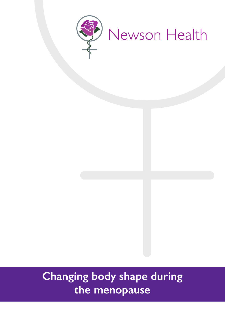

# **Changing body shape during the menopause**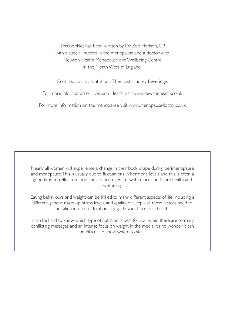This booklet has been written by Dr Zoe Hodson, GP with a special interest in the menopause and a doctor with Newson Health Menopause and Wellbeing Centre in the North West of England.

Contributions by Nutritional Therapist, Lindsey Beveridge.

For more information on Newson Health visit www.newsonhealth.co.uk

For more information on the menopause visit www.menopausedoctor.co.uk

Nearly all women will experience a change in their body shape during perimenopause and menopause. This is usually due to fluctuations in hormone levels and this is often a good time to reflect on food choices and exercise, with a focus on future health and wellbeing.

Eating behaviours and weight can be linked to many different aspects of life, including a different genetic make-up, stress levels, and quality of sleep - all these factors need to be taken into consideration alongside your hormonal health.

It can be hard to know which type of nutrition is best for you when there are so many conflicting messages and an intense focus on weight in the media; it's no wonder it can be difficult to know where to start.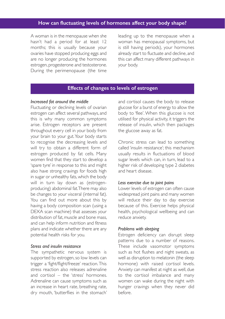# **How can fluctuating levels of hormones affect your body shape?**

A woman is in the menopause when she hasn't had a period for at least 12 months; this is usually because your ovaries have stopped producing eggs and are no longer producing the hormones estrogen, progesterone and testosterone. During the perimenopause (the time

leading up to the menopause when a woman has menopausal symptoms, but is still having periods), your hormones already start to fluctuate and decline, and this can affect many different pathways in your body.

## **Effects of changes to levels of estrogen**

#### *Increased fat around the middle*

Fluctuating or declining levels of ovarian estrogen can affect several pathways, and this is why many common symptoms arise. Estrogen receptors are present throughout every cell in your body from your brain to your gut. Your body starts to recognise the decreasing levels and will try to obtain a different form of estrogen produced by fat cells. Many women find that they start to develop a 'spare tyre' in response to this and might also have strong cravings for foods high in sugar or unhealthy fats, which the body will in turn lay down as (estrogenproducing) abdominal fat. There may also be changes to your visceral (internal fat). You can find out more about this by having a body composition scan (using a DEXA scan machine) that assesses your distribution of fat, muscle and bone mass, and can help inform nutrition and fitness plans and indicate whether there are any potential health risks for you.

#### *Stress and insulin resistance*

The sympathetic nervous system is supported by estrogen, so low levels can trigger a 'fight/flight/freeze' reaction. This stress reaction also releases adrenaline and cortisol – the 'stress' hormones. Adrenaline can cause symptoms such as an increase in heart rate, breathing rate, dry mouth, 'butterflies in the stomach'

and cortisol causes the body to release glucose for a burst of energy to allow the body to 'flee'. When this glucose is not utilised for physical activity, it triggers the release of insulin, which then packages the glucose away as fat.

Chronic stress can lead to something called 'insulin resistance'; this mechanism usually results in fluctuations of blood sugar levels which can, in turn, lead to a higher risk of developing type 2 diabetes and heart disease.

#### *Less exercise due to joint pains*

Lower levels of estrogen can often cause widespread joint pains and many women will reduce their day to day exercise because of this. Exercise helps physical health, psychological wellbeing and can reduce anxiety.

#### *Problems with sleeping*

Estrogen deficiency can disrupt sleep patterns due to a number of reasons. These include vasomotor symptoms such as hot flushes and night sweats, as well as disruption to melatonin (the sleep hormone) with raised cortisol levels. Anxiety can manifest at night as well, due to the cortisol imbalance and many women can wake during the night with hunger cravings when they never did before.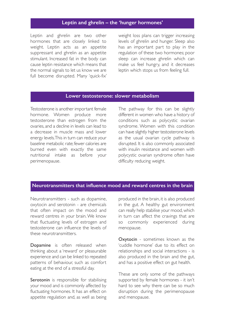### **Leptin and ghrelin – the 'hunger hormones'**

Leptin and ghrelin are two other hormones that are closely linked to weight. Leptin acts as an appetite suppressant and ghrelin as an appetite stimulant. Increased fat in the body can cause leptin resistance which means that the normal signals to let us know we are full become disrupted. Many 'quick-fix'

weight loss plans can trigger increasing levels of ghrelin and hunger. Sleep also has an important part to play in the regulation of these two hormones; poor sleep can increase ghrelin which can make us feel hungry, and it decreases leptin which stops us from feeling full.

#### **Lower testosterone: slower metabolism**

Testosterone is another important female hormone. Women produce more testosterone than estrogen from the ovaries, and a decline in levels can lead to a decrease in muscle mass and lower energy levels. This in turn can reduce your baseline metabolic rate; fewer calories are burned even with exactly the same nutritional intake as before your perimenopause.

The pathway for this can be slightly different in women who have a history of conditions such as polycystic ovarian syndrome. Women with this condition can have slightly higher testosterone levels as the usual ovarian cycle pathway is disrupted. It is also commonly associated with insulin resistance and women with polycystic ovarian syndrome often have difficulty reducing weight.

## **Neurotransmitters that influence mood and reward centres in the brain**

Neurotransmitters - such as dopamine, oxytocin and serotonin - are chemicals that often impact on the mood and reward centres in your brain. We know that fluctuating levels of estrogen and testosterone can influence the levels of these neurotransmitters.

Dopamine is often released when thinking about a 'reward' or pleasurable experience and can be linked to repeated patterns of behaviour, such as comfort eating at the end of a stressful day.

Serotonin is responsible for stabilising your mood and is commonly affected by fluctuating hormones. It has an effect on appetite regulation and, as well as being

produced in the brain, it is also produced in the gut. A healthy gut environment can really help stabilise your mood, which in turn can affect the cravings that are so commonly experienced during menopause.

Oxytocin - sometimes known as the 'cuddle hormone' due to its effect on relationships and social interactions - is also produced in the brain and the gut, and has a positive effect on gut health.

These are only some of the pathways supported by female hormones - it isn't hard to see why there can be so much disruption during the perimenopause and menopause.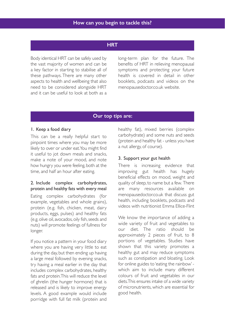## **HRT**

Body identical HRT can be safely used by the vast majority of women and can be a key factor in starting to stabilise all of these pathways. There are many other aspects to health and wellbeing that also need to be considered alongside HRT and it can be useful to look at both as a

long-term plan for the future. The benefits of HRT in relieving menopausal symptoms and protecting your future health is covered in detail in other booklets, podcasts and videos on the menopausedoctor.co.uk website.

## **Our top tips are:**

#### 1. Keep a food diary

This can be a really helpful start to pinpoint times where you may be more likely to over or under eat. You might find it useful to jot down meals and snacks, make a note of your mood, and note how hungry you were feeling, both at the time, and half an hour after eating.

## 2. Include complex carbohydrates, protein and healthy fats with every meal

Eating complex carbohydrates (for example, vegetables and whole grains), protein (e.g. fish, chicken, meat, dairy products, eggs, pulses) and healthy fats (e.g. olive oil, avocados, oily fish, seeds and nuts) will promote feelings of fullness for longer.

If you notice a pattern in your food diary where you are having very little to eat during the day, but then ending up having a large meal followed by evening snacks, try having a meal earlier in the day that includes complex carbohydrates, healthy fats and protein. This will reduce the level of ghrelin (the hunger hormone) that is released and is likely to improve energy levels. A good example would include porridge with full fat milk (protein and

healthy fat), mixed berries (complex carbohydrate) and some nuts and seeds (protein and healthy fat - unless you have a nut allergy, of course).

#### 3. Support your gut health

There is increasing evidence that improving gut health has hugely beneficial effects on mood, weight and quality of sleep, to name but a few. There are many resources available on menopausedoctor.co.uk that discuss gut health, including booklets, podcasts and videos with nutritionist Emma Ellice-Flint

We know the importance of adding a wide variety of fruit and vegetables to our diet. The ratio should be approximately 2 pieces of fruit, to 8 portions of vegetables. Studies have shown that this variety promotes a healthy gut and may reduce symptoms such as constipation and bloating. Look for online guides to 'eating the rainbow' which aim to include many different colours of fruit and vegetables in our diets. This ensures intake of a wide variety of micronutrients, which are essential for good health.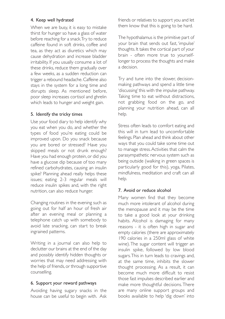## 4. Keep well hydrated

When we are busy, it is easy to mistake thirst for hunger so have a glass of water before reaching for a snack. Try to reduce caffeine found in soft drinks, coffee and tea, as they act as diuretics which may cause dehydration and increase bladder irritability. If you usually consume a lot of these drinks, reduce them gradually over a few weeks, as a sudden reduction can trigger a rebound headache. Caffeine also stays in the system for a long time and disrupts sleep. As mentioned before, poor sleep increases cortisol and ghrelin which leads to hunger and weight gain.

## 5. Identify the tricky times

Use your food diary to help identify why you eat when you do, and whether the types of food you're eating could be improved upon. Do you snack because you are bored or stressed? Have you skipped meals or not drunk enough? Have you had enough protein, or did you have a glucose dip because of too many refined carbohydrates, causing an insulin spike? Planning ahead really helps these issues; eating 2-3 regular meals will reduce insulin spikes and, with the right nutrition, can also reduce hunger.

Changing routines in the evening such as going out for half an hour of fresh air after an evening meal or planning a telephone catch up with somebody to avoid late snacking, can start to break ingrained patterns.

Writing in a journal can also help to declutter our brains at the end of the day and possibly identify hidden thoughts or worries that may need addressing with the help of friends, or through supportive counselling.

## 6. Support your reward pathways

Avoiding having sugary snacks in the house can be useful to begin with. Ask

friends or relatives to support you and let them know that this is going to be hard.

The hypothalamus is the primitive part of your brain that sends out fast, 'impulse' thoughts. It takes the cortical part of your brain - often more true to yourselflonger to process the thoughts and make a decision.

Try and tune into the slower, decisionmaking pathways and spend a little time 'discussing' this with the impulse pathway. Taking time to eat without distractions, not grabbing food on the go, and planning your nutrition ahead, can all help.

Stress often leads to comfort eating and this will in turn lead to uncomfortable feelings. Plan ahead and think about other ways that you could take some time out to manage stress. Activities that calm the parasympathetic nervous system such as being outside (walking in green spaces is particularly good for this), yoga, Pilates, mindfulness, meditation and craft can all help.

## 7. Avoid or reduce alcohol

Many women find that they become much more intolerant of alcohol during the menopause and it may be the time to take a good look at your drinking habits. Alcohol is damaging for many reasons - it is often high in sugar and empty calories (there are approximately 190 calories in a 250ml glass of white wine). The sugar content will trigger an insulin spike, followed by low blood sugars. This in turn leads to cravings and, at the same time, inhibits the slower thought processing. As a result, it can become much more difficult to resist those fast impulses described earlier and make more thoughtful decisions. There are many online support groups and books available to help 'dig down' into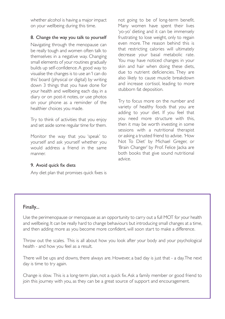whether alcohol is having a major impact on your wellbeing during this time.

## 8. Change the way you talk to yourself

Navigating through the menopause can be really tough and women often talk to themselves in a negative way. Changing small elements of your routines gradually builds up self-confidence. A good way to visualise the changes is to use an 'I can do this' board (physical or digital) by writing down 3 things that you have done for your health and wellbeing each day, in a diary or on post-it notes, or use photos on your phone as a reminder of the healthier choices you made.

Try to think of activities that you enjoy and set aside some regular time for them.

Monitor the way that you 'speak' to yourself and ask yourself whether you would address a friend in the same manner.

## not going to be of long-term benefit. Many women have spent their lives 'yo-yo' dieting and it can be immensely frustrating to lose weight, only to regain even more. The reason behind this is that restricting calories will ultimately decrease your basal metabolic rate. You may have noticed changes in your skin and hair when doing these diets, due to nutrient deficiencies. They are also likely to cause muscle breakdown and increase cortisol, leading to more stubborn fat deposition.

Try to focus more on the number and variety of healthy foods that you are adding to your diet. If you feel that you need more structure with this, then it may be worth investing in some sessions with a nutritional therapist or asking a trusted friend to advise. 'How Not To Diet' by Michael Greger, or 'Brain Changer' by Prof. Felice Jacka are both books that give sound nutritional advice.

# 9. Avoid quick fix diets

Any diet plan that promises quick fixes is

## Finally...

Use the perimenopause or menopause as an opportunity to carry out a full MOT for your health and wellbeing. It can be really hard to change behaviours but introducing small changes at a time, and then adding more as you become more confident, will soon start to make a difference.

Throw out the scales. This is all about how you look after your body and your psychological health - and how you feel as a result.

There will be ups and downs, there always are. However, a bad day is just that - a day. The next day is time to try again.

Change is slow. This is a long-term plan, not a quick fix. Ask a family member or good friend to join this journey with you, as they can be a great source of support and encouragement.